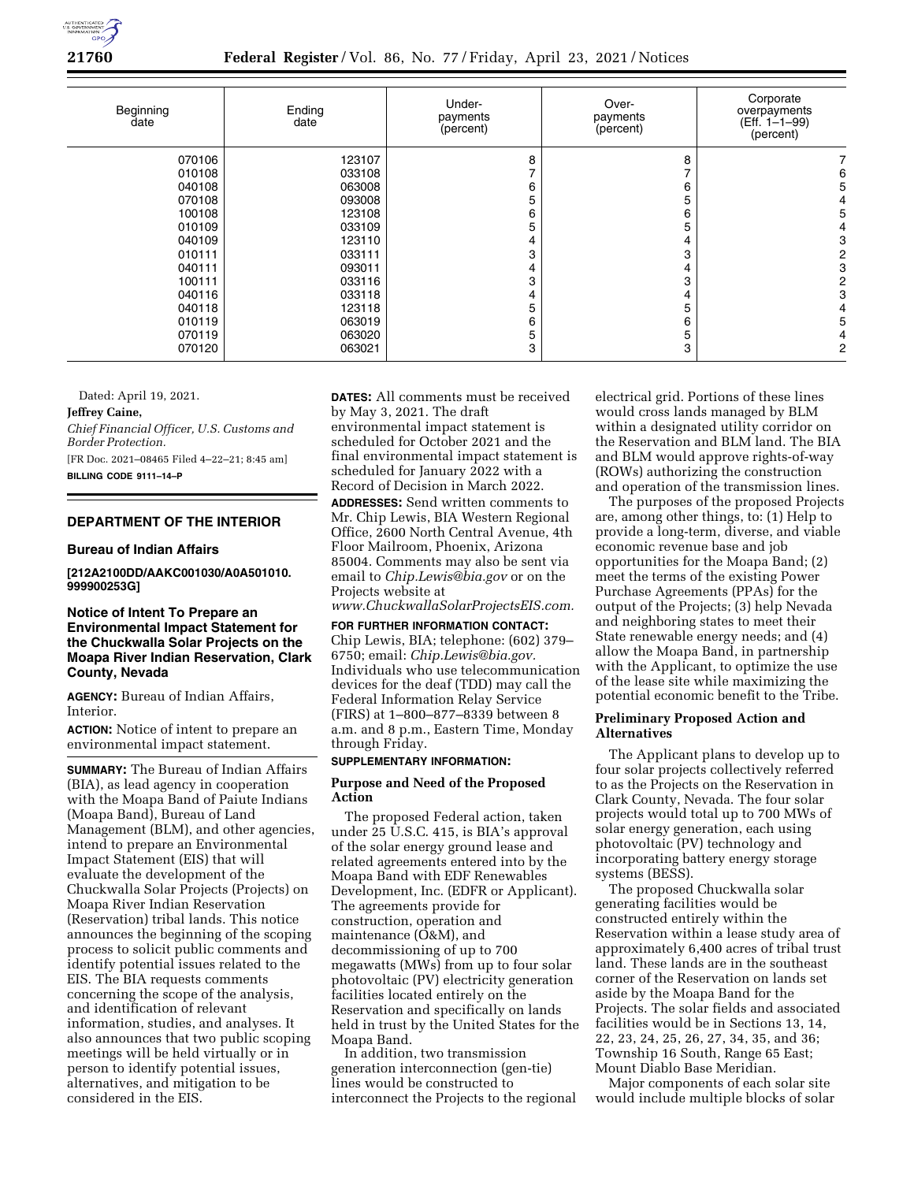

**21760 Federal Register** / Vol. 86, No. 77 / Friday, April 23, 2021 / Notices

| Beginning<br>date | Ending<br>date | Under-<br>payments<br>(percent) | Over-<br>payments<br>(percent) | Corporate<br>overpayments<br>$(Eff. 1-1-99)$<br>(percent) |
|-------------------|----------------|---------------------------------|--------------------------------|-----------------------------------------------------------|
| 070106            | 123107         | 8                               | 8                              |                                                           |
| 010108            | 033108         |                                 |                                | 6                                                         |
| 040108            | 063008         | 6                               | 6                              | 5                                                         |
| 070108            | 093008         | 5                               | 5                              |                                                           |
| 100108            | 123108         | 6                               | 6                              | 5                                                         |
| 010109            | 033109         | 5                               | 5                              |                                                           |
| 040109            | 123110         | 4                               |                                | 3                                                         |
| 010111            | 033111         | 3                               | 3                              | 2                                                         |
| 040111            | 093011         | 4                               | 4                              | 3                                                         |
| 100111            | 033116         | 3                               | 3                              | 2                                                         |
| 040116            | 033118         | 4                               | 4                              | 3                                                         |
| 040118            | 123118         | 5                               | 5                              |                                                           |
| 010119            | 063019         | 6                               | 6                              | 5                                                         |
| 070119            | 063020         | 5                               | 5                              |                                                           |
| 070120            | 063021         | 3                               | 3                              | 2                                                         |

Dated: April 19, 2021.

#### **Jeffrey Caine,**

*Chief Financial Officer, U.S. Customs and Border Protection.* 

[FR Doc. 2021–08465 Filed 4–22–21; 8:45 am] **BILLING CODE 9111–14–P** 

## **DEPARTMENT OF THE INTERIOR**

## **Bureau of Indian Affairs**

**[212A2100DD/AAKC001030/A0A501010. 999900253G]** 

## **Notice of Intent To Prepare an Environmental Impact Statement for the Chuckwalla Solar Projects on the Moapa River Indian Reservation, Clark County, Nevada**

**AGENCY:** Bureau of Indian Affairs, Interior.

**ACTION:** Notice of intent to prepare an environmental impact statement.

**SUMMARY:** The Bureau of Indian Affairs (BIA), as lead agency in cooperation with the Moapa Band of Paiute Indians (Moapa Band), Bureau of Land Management (BLM), and other agencies, intend to prepare an Environmental Impact Statement (EIS) that will evaluate the development of the Chuckwalla Solar Projects (Projects) on Moapa River Indian Reservation (Reservation) tribal lands. This notice announces the beginning of the scoping process to solicit public comments and identify potential issues related to the EIS. The BIA requests comments concerning the scope of the analysis, and identification of relevant information, studies, and analyses. It also announces that two public scoping meetings will be held virtually or in person to identify potential issues, alternatives, and mitigation to be considered in the EIS.

**DATES:** All comments must be received by May 3, 2021. The draft environmental impact statement is scheduled for October 2021 and the final environmental impact statement is scheduled for January 2022 with a Record of Decision in March 2022.

**ADDRESSES:** Send written comments to Mr. Chip Lewis, BIA Western Regional Office, 2600 North Central Avenue, 4th Floor Mailroom, Phoenix, Arizona 85004. Comments may also be sent via email to *[Chip.Lewis@bia.gov](mailto:Chip.Lewis@bia.gov)* or on the Projects website at

*[www.ChuckwallaSolarProjectsEIS.com.](http://www.ChuckwallaSolarProjectsEIS.com)* 

**FOR FURTHER INFORMATION CONTACT:**  Chip Lewis, BIA; telephone: (602) 379– 6750; email: *[Chip.Lewis@bia.gov.](mailto:Chip.Lewis@bia.gov)*  Individuals who use telecommunication devices for the deaf (TDD) may call the Federal Information Relay Service (FIRS) at 1–800–877–8339 between 8 a.m. and 8 p.m., Eastern Time, Monday through Friday.

# **SUPPLEMENTARY INFORMATION:**

# **Purpose and Need of the Proposed Action**

The proposed Federal action, taken under 25 U.S.C. 415, is BIA's approval of the solar energy ground lease and related agreements entered into by the Moapa Band with EDF Renewables Development, Inc. (EDFR or Applicant). The agreements provide for construction, operation and maintenance (O&M), and decommissioning of up to 700 megawatts (MWs) from up to four solar photovoltaic (PV) electricity generation facilities located entirely on the Reservation and specifically on lands held in trust by the United States for the Moapa Band.

In addition, two transmission generation interconnection (gen-tie) lines would be constructed to interconnect the Projects to the regional electrical grid. Portions of these lines would cross lands managed by BLM within a designated utility corridor on the Reservation and BLM land. The BIA and BLM would approve rights-of-way (ROWs) authorizing the construction and operation of the transmission lines.

The purposes of the proposed Projects are, among other things, to: (1) Help to provide a long-term, diverse, and viable economic revenue base and job opportunities for the Moapa Band; (2) meet the terms of the existing Power Purchase Agreements (PPAs) for the output of the Projects; (3) help Nevada and neighboring states to meet their State renewable energy needs; and (4) allow the Moapa Band, in partnership with the Applicant, to optimize the use of the lease site while maximizing the potential economic benefit to the Tribe.

### **Preliminary Proposed Action and Alternatives**

The Applicant plans to develop up to four solar projects collectively referred to as the Projects on the Reservation in Clark County, Nevada. The four solar projects would total up to 700 MWs of solar energy generation, each using photovoltaic (PV) technology and incorporating battery energy storage systems (BESS).

The proposed Chuckwalla solar generating facilities would be constructed entirely within the Reservation within a lease study area of approximately 6,400 acres of tribal trust land. These lands are in the southeast corner of the Reservation on lands set aside by the Moapa Band for the Projects. The solar fields and associated facilities would be in Sections 13, 14, 22, 23, 24, 25, 26, 27, 34, 35, and 36; Township 16 South, Range 65 East; Mount Diablo Base Meridian.

Major components of each solar site would include multiple blocks of solar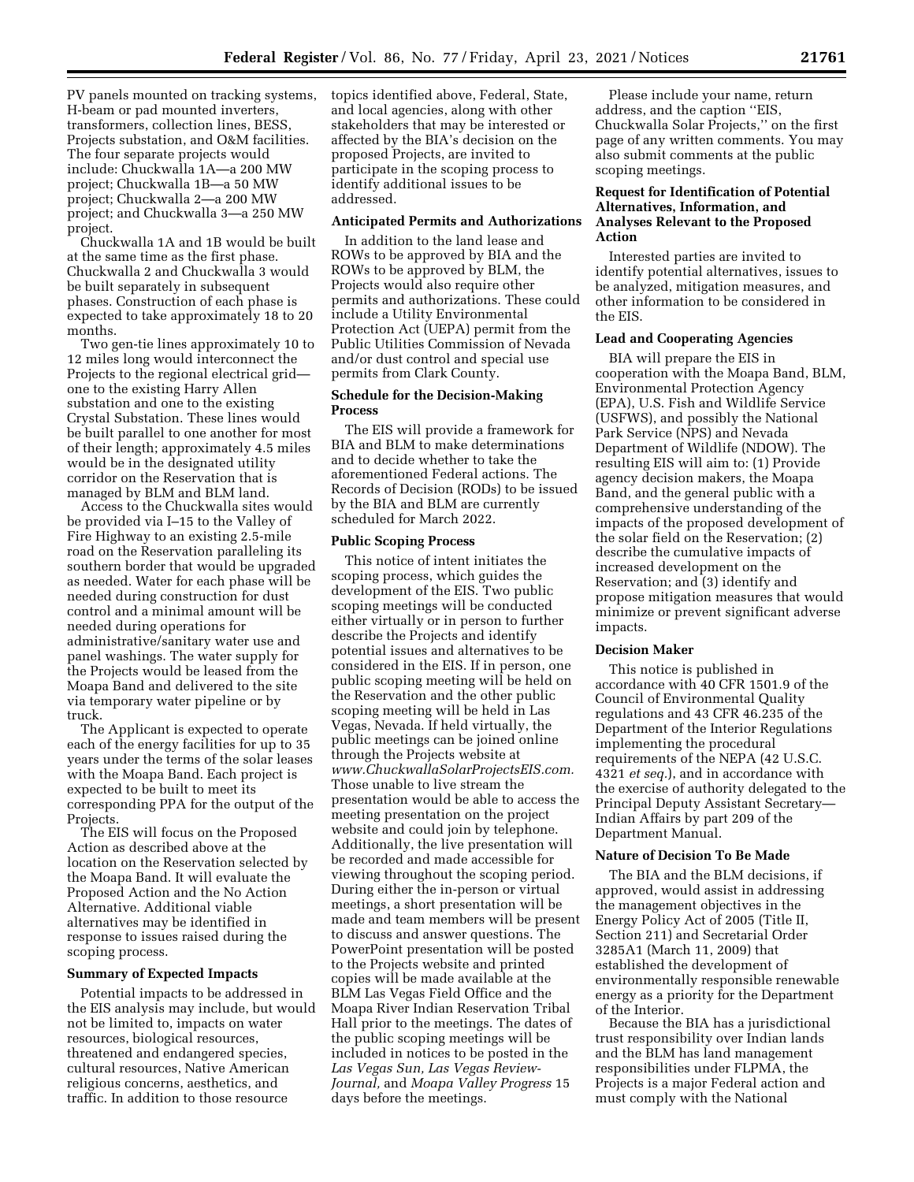PV panels mounted on tracking systems, H-beam or pad mounted inverters, transformers, collection lines, BESS, Projects substation, and O&M facilities. The four separate projects would include: Chuckwalla 1A—a 200 MW project; Chuckwalla 1B—a 50 MW project; Chuckwalla 2—a 200 MW project; and Chuckwalla 3—a 250 MW project.

Chuckwalla 1A and 1B would be built at the same time as the first phase. Chuckwalla 2 and Chuckwalla 3 would be built separately in subsequent phases. Construction of each phase is expected to take approximately 18 to 20 months.

Two gen-tie lines approximately 10 to 12 miles long would interconnect the Projects to the regional electrical grid one to the existing Harry Allen substation and one to the existing Crystal Substation. These lines would be built parallel to one another for most of their length; approximately 4.5 miles would be in the designated utility corridor on the Reservation that is managed by BLM and BLM land.

Access to the Chuckwalla sites would be provided via I–15 to the Valley of Fire Highway to an existing 2.5-mile road on the Reservation paralleling its southern border that would be upgraded as needed. Water for each phase will be needed during construction for dust control and a minimal amount will be needed during operations for administrative/sanitary water use and panel washings. The water supply for the Projects would be leased from the Moapa Band and delivered to the site via temporary water pipeline or by truck.

The Applicant is expected to operate each of the energy facilities for up to 35 years under the terms of the solar leases with the Moapa Band. Each project is expected to be built to meet its corresponding PPA for the output of the Projects.

The EIS will focus on the Proposed Action as described above at the location on the Reservation selected by the Moapa Band. It will evaluate the Proposed Action and the No Action Alternative. Additional viable alternatives may be identified in response to issues raised during the scoping process.

## **Summary of Expected Impacts**

Potential impacts to be addressed in the EIS analysis may include, but would not be limited to, impacts on water resources, biological resources, threatened and endangered species, cultural resources, Native American religious concerns, aesthetics, and traffic. In addition to those resource

topics identified above, Federal, State, and local agencies, along with other stakeholders that may be interested or affected by the BIA's decision on the proposed Projects, are invited to participate in the scoping process to identify additional issues to be addressed.

#### **Anticipated Permits and Authorizations**

In addition to the land lease and ROWs to be approved by BIA and the ROWs to be approved by BLM, the Projects would also require other permits and authorizations. These could include a Utility Environmental Protection Act (UEPA) permit from the Public Utilities Commission of Nevada and/or dust control and special use permits from Clark County.

#### **Schedule for the Decision-Making Process**

The EIS will provide a framework for BIA and BLM to make determinations and to decide whether to take the aforementioned Federal actions. The Records of Decision (RODs) to be issued by the BIA and BLM are currently scheduled for March 2022.

#### **Public Scoping Process**

This notice of intent initiates the scoping process, which guides the development of the EIS. Two public scoping meetings will be conducted either virtually or in person to further describe the Projects and identify potential issues and alternatives to be considered in the EIS. If in person, one public scoping meeting will be held on the Reservation and the other public scoping meeting will be held in Las Vegas, Nevada. If held virtually, the public meetings can be joined online through the Projects website at *[www.ChuckwallaSolarProjectsEIS.com.](http://www.ChuckwallaSolarProjectsEIS.com)*  Those unable to live stream the presentation would be able to access the meeting presentation on the project website and could join by telephone. Additionally, the live presentation will be recorded and made accessible for viewing throughout the scoping period. During either the in-person or virtual meetings, a short presentation will be made and team members will be present to discuss and answer questions. The PowerPoint presentation will be posted to the Projects website and printed copies will be made available at the BLM Las Vegas Field Office and the Moapa River Indian Reservation Tribal Hall prior to the meetings. The dates of the public scoping meetings will be included in notices to be posted in the *Las Vegas Sun, Las Vegas Review-Journal,* and *Moapa Valley Progress* 15 days before the meetings.

Please include your name, return address, and the caption ''EIS, Chuckwalla Solar Projects,'' on the first page of any written comments. You may also submit comments at the public scoping meetings.

## **Request for Identification of Potential Alternatives, Information, and Analyses Relevant to the Proposed Action**

Interested parties are invited to identify potential alternatives, issues to be analyzed, mitigation measures, and other information to be considered in the EIS.

## **Lead and Cooperating Agencies**

BIA will prepare the EIS in cooperation with the Moapa Band, BLM, Environmental Protection Agency (EPA), U.S. Fish and Wildlife Service (USFWS), and possibly the National Park Service (NPS) and Nevada Department of Wildlife (NDOW). The resulting EIS will aim to: (1) Provide agency decision makers, the Moapa Band, and the general public with a comprehensive understanding of the impacts of the proposed development of the solar field on the Reservation; (2) describe the cumulative impacts of increased development on the Reservation; and (3) identify and propose mitigation measures that would minimize or prevent significant adverse impacts.

#### **Decision Maker**

This notice is published in accordance with 40 CFR 1501.9 of the Council of Environmental Quality regulations and 43 CFR 46.235 of the Department of the Interior Regulations implementing the procedural requirements of the NEPA (42 U.S.C. 4321 *et seq.*), and in accordance with the exercise of authority delegated to the Principal Deputy Assistant Secretary— Indian Affairs by part 209 of the Department Manual.

#### **Nature of Decision To Be Made**

The BIA and the BLM decisions, if approved, would assist in addressing the management objectives in the Energy Policy Act of 2005 (Title II, Section 211) and Secretarial Order 3285A1 (March 11, 2009) that established the development of environmentally responsible renewable energy as a priority for the Department of the Interior.

Because the BIA has a jurisdictional trust responsibility over Indian lands and the BLM has land management responsibilities under FLPMA, the Projects is a major Federal action and must comply with the National